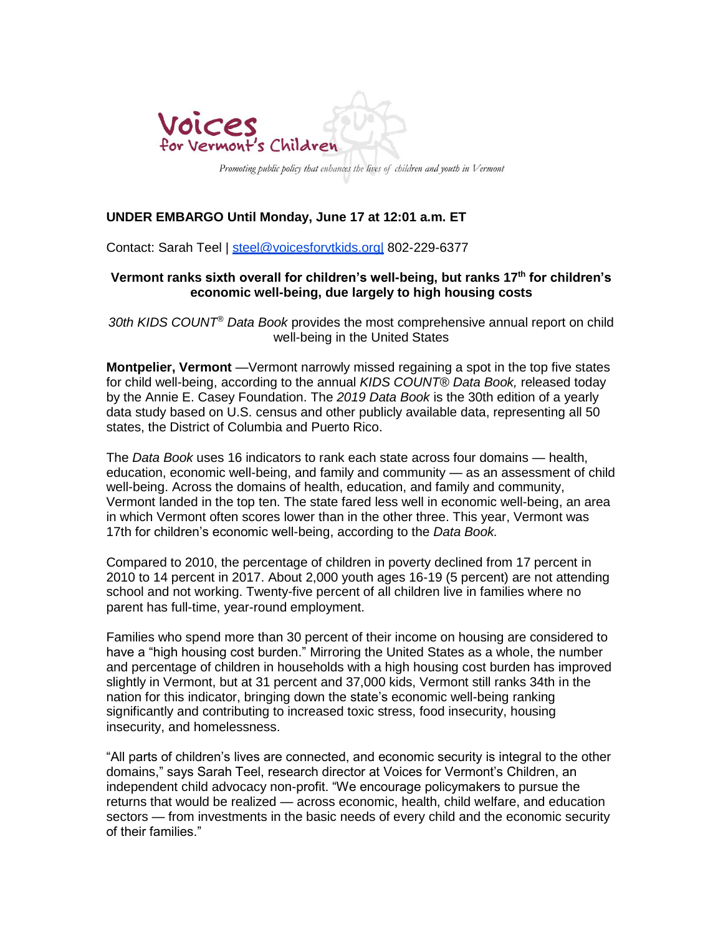

# **UNDER EMBARGO Until Monday, June 17 at 12:01 a.m. ET**

Contact: Sarah Teel | steel@voicesforvtkids.org 802-229-6377

## **Vermont ranks sixth overall for children's well-being, but ranks 17th for children's economic well-being, due largely to high housing costs**

*30th KIDS COUNT® Data Book* provides the most comprehensive annual report on child well-being in the United States

**Montpelier, Vermont** —Vermont narrowly missed regaining a spot in the top five states for child well-being, according to the annual *KIDS COUNT® Data Book,* released today by the Annie E. Casey Foundation. The *2019 Data Book* is the 30th edition of a yearly data study based on U.S. census and other publicly available data, representing all 50 states, the District of Columbia and Puerto Rico.

The *Data Book* uses 16 indicators to rank each state across four domains — health, education, economic well-being, and family and community — as an assessment of child well-being. Across the domains of health, education, and family and community, Vermont landed in the top ten. The state fared less well in economic well-being, an area in which Vermont often scores lower than in the other three. This year, Vermont was 17th for children's economic well-being, according to the *Data Book.* 

Compared to 2010, the percentage of children in poverty declined from 17 percent in 2010 to 14 percent in 2017. About 2,000 youth ages 16-19 (5 percent) are not attending school and not working. Twenty-five percent of all children live in families where no parent has full-time, year-round employment.

Families who spend more than 30 percent of their income on housing are considered to have a "high housing cost burden." Mirroring the United States as a whole, the number and percentage of children in households with a high housing cost burden has improved slightly in Vermont, but at 31 percent and 37,000 kids, Vermont still ranks 34th in the nation for this indicator, bringing down the state's economic well-being ranking significantly and contributing to increased toxic stress, food insecurity, housing insecurity, and homelessness.

"All parts of children's lives are connected, and economic security is integral to the other domains," says Sarah Teel, research director at Voices for Vermont's Children, an independent child advocacy non-profit. "We encourage policymakers to pursue the returns that would be realized — across economic, health, child welfare, and education sectors — from investments in the basic needs of every child and the economic security of their families."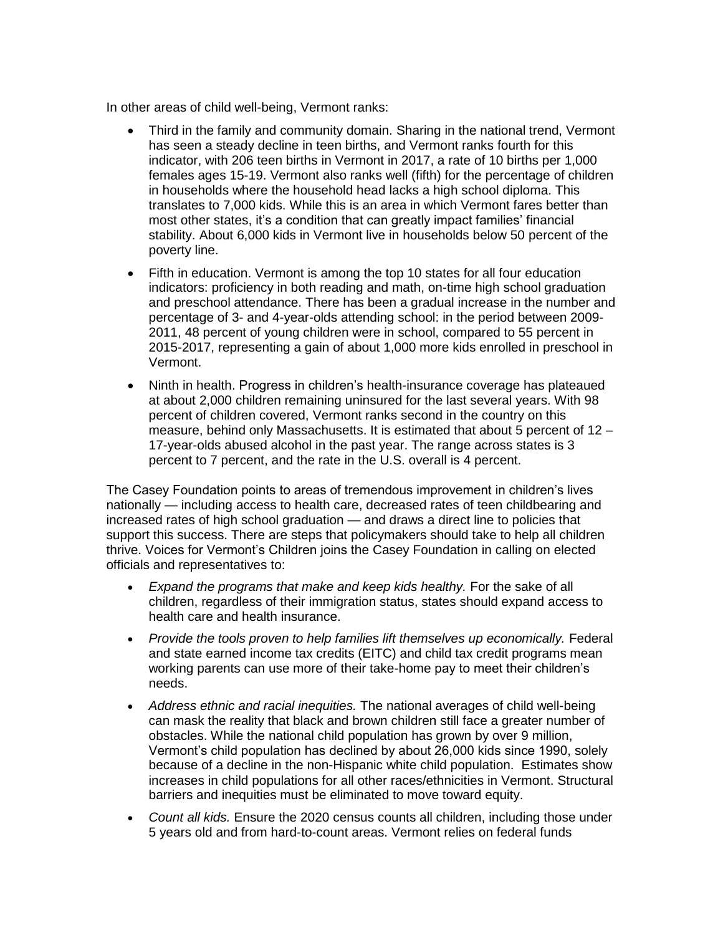In other areas of child well-being, Vermont ranks:

- Third in the family and community domain. Sharing in the national trend, Vermont has seen a steady decline in teen births, and Vermont ranks fourth for this indicator, with 206 teen births in Vermont in 2017, a rate of 10 births per 1,000 females ages 15-19. Vermont also ranks well (fifth) for the percentage of children in households where the household head lacks a high school diploma. This translates to 7,000 kids. While this is an area in which Vermont fares better than most other states, it's a condition that can greatly impact families' financial stability. About 6,000 kids in Vermont live in households below 50 percent of the poverty line.
- Fifth in education. Vermont is among the top 10 states for all four education indicators: proficiency in both reading and math, on-time high school graduation and preschool attendance. There has been a gradual increase in the number and percentage of 3- and 4-year-olds attending school: in the period between 2009- 2011, 48 percent of young children were in school, compared to 55 percent in 2015-2017, representing a gain of about 1,000 more kids enrolled in preschool in Vermont.
- Ninth in health. Progress in children's health-insurance coverage has plateaued at about 2,000 children remaining uninsured for the last several years. With 98 percent of children covered, Vermont ranks second in the country on this measure, behind only Massachusetts. It is estimated that about 5 percent of  $12 -$ 17-year-olds abused alcohol in the past year. The range across states is 3 percent to 7 percent, and the rate in the U.S. overall is 4 percent.

The Casey Foundation points to areas of tremendous improvement in children's lives nationally — including access to health care, decreased rates of teen childbearing and increased rates of high school graduation — and draws a direct line to policies that support this success. There are steps that policymakers should take to help all children thrive. Voices for Vermont's Children joins the Casey Foundation in calling on elected officials and representatives to:

- *Expand the programs that make and keep kids healthy.* For the sake of all children, regardless of their immigration status, states should expand access to health care and health insurance.
- *Provide the tools proven to help families lift themselves up economically.* Federal and state earned income tax credits (EITC) and child tax credit programs mean working parents can use more of their take-home pay to meet their children's needs.
- *Address ethnic and racial inequities.* The national averages of child well-being can mask the reality that black and brown children still face a greater number of obstacles. While the national child population has grown by over 9 million, Vermont's child population has declined by about 26,000 kids since 1990, solely because of a decline in the non-Hispanic white child population. Estimates show increases in child populations for all other races/ethnicities in Vermont. Structural barriers and inequities must be eliminated to move toward equity.
- *Count all kids.* Ensure the 2020 census counts all children, including those under 5 years old and from hard-to-count areas. Vermont relies on federal funds